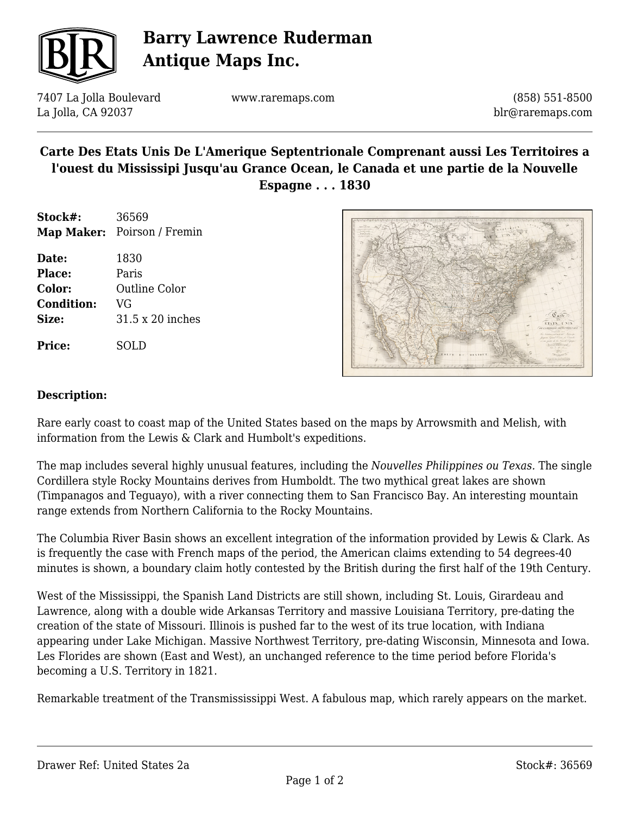

# **Barry Lawrence Ruderman Antique Maps Inc.**

7407 La Jolla Boulevard La Jolla, CA 92037

www.raremaps.com

(858) 551-8500 blr@raremaps.com

### **Carte Des Etats Unis De L'Amerique Septentrionale Comprenant aussi Les Territoires a l'ouest du Mississipi Jusqu'au Grance Ocean, le Canada et une partie de la Nouvelle Espagne . . . 1830**

| Stock#: | 36569                       |
|---------|-----------------------------|
|         | Map Maker: Poirson / Fremin |

**Date:** 1830 **Place:** Paris **Color:** Outline Color **Condition:** VG **Size:** 31.5 x 20 inches

**Price:** SOLD



#### **Description:**

Rare early coast to coast map of the United States based on the maps by Arrowsmith and Melish, with information from the Lewis & Clark and Humbolt's expeditions.

The map includes several highly unusual features, including the *Nouvelles Philippines ou Texas.* The single Cordillera style Rocky Mountains derives from Humboldt. The two mythical great lakes are shown (Timpanagos and Teguayo), with a river connecting them to San Francisco Bay. An interesting mountain range extends from Northern California to the Rocky Mountains.

The Columbia River Basin shows an excellent integration of the information provided by Lewis & Clark. As is frequently the case with French maps of the period, the American claims extending to 54 degrees-40 minutes is shown, a boundary claim hotly contested by the British during the first half of the 19th Century.

West of the Mississippi, the Spanish Land Districts are still shown, including St. Louis, Girardeau and Lawrence, along with a double wide Arkansas Territory and massive Louisiana Territory, pre-dating the creation of the state of Missouri. Illinois is pushed far to the west of its true location, with Indiana appearing under Lake Michigan. Massive Northwest Territory, pre-dating Wisconsin, Minnesota and Iowa. Les Florides are shown (East and West), an unchanged reference to the time period before Florida's becoming a U.S. Territory in 1821.

Remarkable treatment of the Transmississippi West. A fabulous map, which rarely appears on the market.